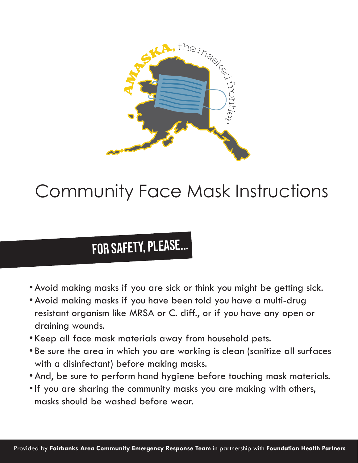

# Community Face Mask Instructions

## For safety, please...

- •Avoid making masks if you are sick or think you might be getting sick.
- •Avoid making masks if you have been told you have a multi-drug resistant organism like MRSA or C. diff., or if you have any open or draining wounds.
- Keep all face mask materials away from household pets.
- Be sure the area in which you are working is clean (sanitize all surfaces with a disinfectant) before making masks.
- •And, be sure to perform hand hygiene before touching mask materials.
- •If you are sharing the community masks you are making with others, masks should be washed before wear.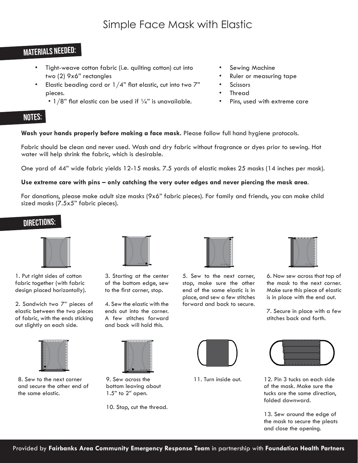### Materials needed:

- Tight-weave cotton fabric (i.e. quilting cotton) cut into two (2) 9x6" rectangles
- Elastic beading cord or  $1/4$ " flat elastic, cut into two  $7$ " pieces.
	- $1/8$ " flat elastic can be used if  $\frac{1}{4}$ " is unavailable.
- Sewing Machine
- Ruler or measuring tape
- **Scissors**
- **Thread**
- Pins, used with extreme care

### NOTES:

### **Wash your hands properly before making a face mask.** Please follow full hand hygiene protocols.

Fabric should be clean and never used. Wash and dry fabric without fragrance or dyes prior to sewing. Hot water will help shrink the fabric, which is desirable.

One yard of 44" wide fabric yields 12-15 masks. 7.5 yards of elastic makes 25 masks (14 inches per mask).

### **Use extreme care with pins – only catching the very outer edges and never piercing the mask area**.

For donations, please make adult size masks (9x6" fabric pieces). For family and friends, you can make child sized masks (7.5x5" fabric pieces).

### Directions:



1. Put right sides of cotton fabric together (with fabric design placed horizontally).

2. Sandwich two 7" pieces of elastic between the two pieces of fabric, with the ends sticking out slightly on each side.



8. Sew to the next corner and secure the other end of the same elastic.



3. Starting at the center of the bottom edge, sew to the first corner, stop.

4. Sew the elastic with the ends out into the corner. A few stitches forward and back will hold this.



9. Sew across the bottom leaving about 1.5" to 2" open.

10. Stop, cut the thread.



5. Sew to the next corner, stop, make sure the other end of the same elastic is in place, and sew a few stitches forward and back to secure.



6. Now sew across that top of the mask to the next corner. Make sure this piece of elastic is in place with the end out.

7. Secure in place with a few stitches back and forth.



11. Turn inside out.



12. Pin 3 tucks on each side of the mask. Make sure the tucks are the same direction, folded downward.

13. Sew around the edge of the mask to secure the pleats and close the opening.